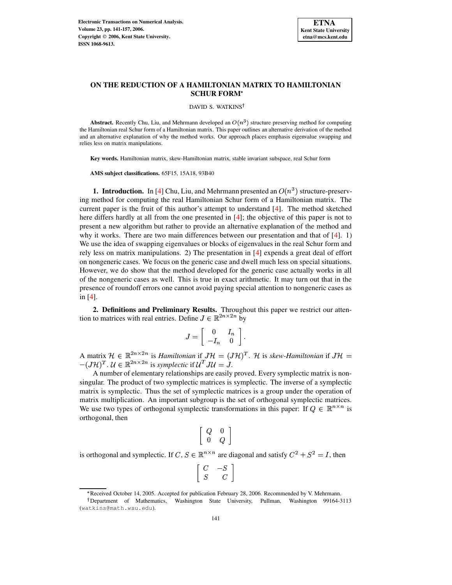

# **ON THE REDUCTION OF A HAMILTONIAN MATRIX TO HAMILTONIAN SCHUR FORM**

DAVID S. WATKINS<sup>†</sup>

**Abstract.** Recently Chu, Liu, and Mehrmann developed an  $O(n^3)$  structure preserving method for computing the Hamiltonian real Schur form of a Hamiltonian matrix. This paper outlines an alternative derivation of the method and an alternative explanation of why the method works. Our approach places emphasis eigenvalue swapping and relies less on matrix manipulations.

**Key words.** Hamiltonian matrix, skew-Hamiltonian matrix, stable invariant subspace, real Schur form

**AMS subject classifications.** 65F15, 15A18, 93B40

**1. Introduction.** In [\[4\]](#page-16-0) Chu, Liu, and Mehrmann presented an  $O(n^3)$  structure-preserving method for computing the real Hamiltonian Schur form of a Hamiltonian matrix. The current paper is the fruit of this author's attempt to understand  $[4]$ . The method sketched here differs hardly at all from the one presented in [\[4\]](#page-16-0); the objective of this paper is not to present a new algorithm but rather to provide an alternative explanation of the method and why it works. There are two main differences between our presentation and that of  $[4]$ . 1) We use the idea of swapping eigenvalues or blocks of eigenvalues in the real Schur form and rely less on matrix manipulations. 2) The presentation in [\[4\]](#page-16-0) expends a great deal of effort on nongeneric cases. We focus on the generic case and dwell much less on special situations. However, we do show that the method developed for the generic case actually works in all of the nongeneric cases as well. This is true in exact arithmetic. It may turn out that in the presence of roundoff errors one cannot avoid paying special attention to nongeneric cases as in [\[4\]](#page-16-0).

**2. Definitions and Preliminary Results.** Throughout this paper we restrict our attention to matrices with real entries. Define  $J \in \mathbb{R}^{2n \times 2n}$  by

$$
J=\left[\begin{array}{cc} 0 & I_n \\ -I_n & 0 \end{array}\right].
$$

A matrix  $\mathcal{H} \in \mathbb{R}^{2n \times 2n}$  is *Hamiltonian* if  $J\mathcal{H} = (J\mathcal{H})^T$ .  $\mathcal{H}$  is *skew-Hamiltonian* if  $J\mathcal{H} = -(J\mathcal{H})^T$ .  $\mathcal{U} \in \mathbb{R}^{2n \times 2n}$  is *symplectic* if  $\mathcal{U}^T J\mathcal{U} = J$ .

A number of elementary relationships are easily proved. Every symplectic matrix is nonsingular. The product of two symplectic matrices is symplectic. The inverse of a symplectic matrix is symplectic. Thus the set of symplectic matrices is a group under the operation of matrix multiplication. An important subgroup is the set of orthogonal symplectic matrices. We use two types of orthogonal symplectic transformations in this paper: If  $Q \in \mathbb{R}^{n \times n}$  is orthogonal, then

$$
\left[\begin{array}{cc}Q&0\\0&Q\end{array}\right]
$$

is orthogonal and symplectic. If  $C, S \in \mathbb{R}^{n \times n}$  are diagonal and satisfy  $C^2 + S^2 = I$ , then

| $\cdot$   | $\rightarrow$ $\ddot{\phantom{0}}$ |  |
|-----------|------------------------------------|--|
| <u>୍ମ</u> |                                    |  |

<sup>\*</sup> Received October 14, 2005. Accepted for publication February 28, 2006. Recommended by V. Mehrmann.

<sup>&</sup>lt;sup>†</sup>Department of Mathematics, Washington State University, Pullman, Washington 99164-3113 (watkins@math.wsu.edu).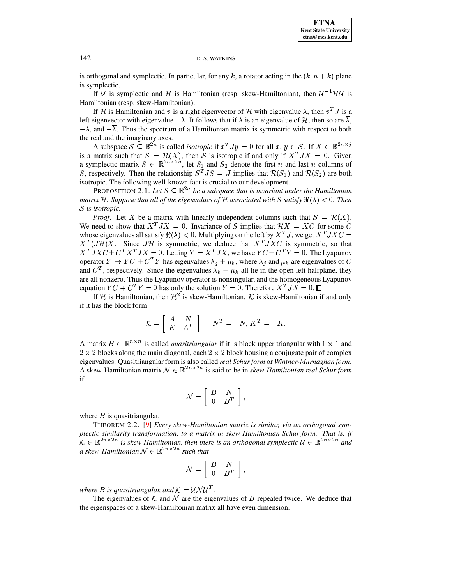is orthogonal and symplectic. In particular, for any k, a rotator acting in the  $(k, n + k)$  plane is symplectic.

If U is symplectic and H is Hamiltonian (resp. skew-Hamiltonian), then  $U^{-1}HU$  is Hamiltonian (resp. skew-Hamiltonian).

If H is Hamiltonian and v is a right eigenvector of H with eigenvalue  $\lambda$ , then  $v^T J$  is a left eigenvector with eigenvalue  $-\lambda$ . It follows that if  $\lambda$  is an eigenvalue of H, then so are  $\overline{\lambda}$ ,  $-\lambda$ , and  $-\lambda$ . Thus the spectrum of a Hamiltonian matrix is symmetric with respect to both the real and the imaginary axes.

A subspace  $S \subseteq \mathbb{R}^{2n}$  is called *isotropic* if  $x^T J y = 0$  for all  $x, y \in S$ . If  $X \in \mathbb{R}^{2n \times j}$ is a matrix such that  $S = \mathcal{R}(X)$ , then S is isotropic if and only if  $X^T J X = 0$ . Given a symplectic matrix  $S \in \mathbb{R}^{2n \times 2n}$ , let  $S_1$  and  $S_2$  denote the first n and last n columns of S, respectively. Then the relationship  $S<sup>T</sup>JS = J$  implies that  $\mathcal{R}(S_1)$  and  $\mathcal{R}(S_2)$  are both isotropic. The following well-known fact is crucial to our development.

<span id="page-1-0"></span>PROPOSITION 2.1. Let  $S \subseteq \mathbb{R}^{2n}$  be a subspace that is invariant under the Hamiltonian *matrix* H. Suppose that all of the eigenvalues of H associated with S satisfy  $\Re(\lambda) < 0$ . Then <sup>O</sup> *is isotropic.*

*Proof.* Let X be a matrix with linearly independent columns such that  $S = \mathcal{R}(X)$ . We need to show that  $X^T J X = 0$ . Invariance of S implies that  $\mathcal{H}X = X C$  for some C whose eigenvalues all satisfy  $\Re(\lambda) < 0$ . Multiplying on the left by  $X^T J$ , we get  $X^T J X C =$  $X^T(J\mathcal{H})X$ . Since  $J\mathcal{H}$  is symmetric, we deduce that  $X^T JXC$  is symmetric, so that  $X^T J X C + C^T X^T J X = 0$ . Letting  $Y = X^T J X$ , we have  $Y C + C^T Y = 0$ . The Lyapunov operator  $Y \to YC + C^T Y$  has eigenvalues  $\lambda_j + \mu_k$ , where  $\lambda_j$  and  $\mu_k$  are eigenvalues of C and  $C<sup>T</sup>$ , respectively. Since the eigenvalues  $\lambda_k + \mu_k$  all lie in the open left halfplane, they are all nonzero. Thus the Lyapunov operator is nonsingular, and the homogeneous Lyapunov equation  $YC + C^T Y = 0$  has only the solution  $Y = 0$ . Therefore  $X^T J X = 0$ .  $\Box$ 

If H is Hamiltonian, then  $\mathcal{H}^2$  is skew-Hamiltonian. K is skew-Hamiltonian if and only if it has the block form

$$
\mathcal{K} = \left[ \begin{array}{cc} A & N \\ K & A^T \end{array} \right], \quad N^T = -N, K^T = -K.
$$

A matrix  $B \in \mathbb{R}^{n \times n}$  is called *quasitriangular* if it is block upper triangular with  $1 \times 1$  and  $2 \times 2$  blocks along the main diagonal, each  $2 \times 2$  block housing a conjugate pair of complex eigenvalues. Quasitriangular form is also called *real Schur form* or *Wintner-Murnaghan form*. A skew-Hamiltonian matrix  $N \in \mathbb{R}^{2n \times 2n}$  is said to be in *skew-Hamiltonian real* Schur form if

$$
\mathcal{N} = \left[ \begin{array}{cc} B & N \\ 0 & B^T \end{array} \right],
$$

where  $B$  is quasitriangular.

THEOREM 2.2. [\[9\]](#page-16-1) *Every skew-Hamiltonian matrix is similar, via an orthogonal symplectic similarity transformation, to a matrix in skew-Hamiltonian Schur form. That is, if*  $\mathcal{K} \in \mathbb{R}^{2n \times 2n}$  *is skew Hamiltonian, then there is an orthogonal symplectic*  $\mathcal{U} \in \mathbb{R}^{2n \times 2n}$  *and a skew-Hamiltonian*  $N \in \mathbb{R}^{2n \times 2n}$  *such that* 

$$
\mathcal{N} = \left[ \begin{array}{cc} B & N \\ 0 & B^T \end{array} \right],
$$

*where B is quasitriangular, and*  $K = UNU<sup>T</sup>$ *.* 

The eigenvalues of  $K$  and  $\mathcal N$  are the eigenvalues of  $B$  repeated twice. We deduce that the eigenspaces of a skew-Hamiltonian matrix all have even dimension.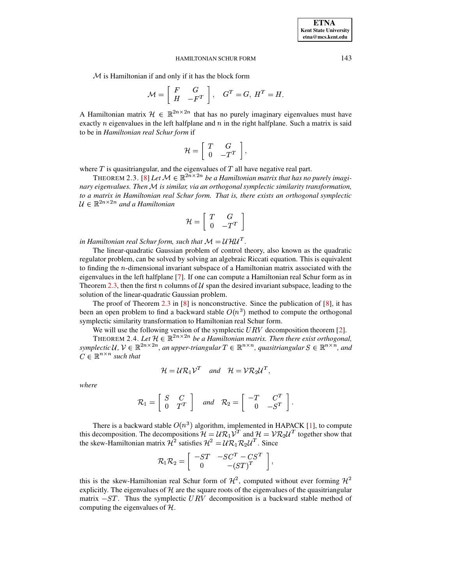$M$  is Hamiltonian if and only if it has the block form

$$
\mathcal{M} = \left[ \begin{array}{cc} F & G \\ H & -F^T \end{array} \right], \quad G^T = G, \ H^T = H.
$$

A Hamiltonian matrix  $\mathcal{H} \in \mathbb{R}^{2n \times 2n}$  that has no purely imaginary eigenvalues must have exactly  $n$  eigenvalues in the left halfplane and  $n$  in the right halfplane. Such a matrix is said to be in *Hamiltonian real Schur form* if

$$
\mathcal{H} = \left[ \begin{array}{cc} T & G \\ 0 & -T^T \end{array} \right],
$$

<span id="page-2-0"></span>where  $T$  is quasitriangular, and the eigenvalues of  $T$  all have negative real part.

THEOREM 2.3. [\[8\]](#page-16-2) Let  $M \in \mathbb{R}^{2n \times 2n}$  be a Hamiltonian matrix that has no purely imagi*nary eigenvalues. Then is similar, via an orthogonalsymplectic similarity transformation, to a matrix in Hamiltonian real Schur form. That is, there exists an orthogonal symplectic*  $\mathcal{U} \in \mathbb{R}^{2n \times 2n}$  and a Hamiltonian

$$
\mathcal{H}=\left[\begin{array}{cc} T & G \\ 0 & -T^T \end{array}\right]
$$

*in Hamiltonian real Schur form, such that*  $\mathcal{M} = \mathcal{U}\mathcal{H}\mathcal{U}^T$ .

The linear-quadratic Gaussian problem of control theory, also known as the quadratic regulator problem, can be solved by solving an algebraic Riccati equation. This is equivalent to finding the  $n$ -dimensional invariant subspace of a Hamiltonian matrix associated with the eigenvalues in the left halfplane [\[7\]](#page-16-3). If one can compute a Hamiltonian real Schur form as in Theorem [2.3,](#page-2-0) then the first n columns of  $\mathcal U$  span the desired invariant subspace, leading to the solution of the linear-quadratic Gaussian problem.

The proof of Theorem [2.3](#page-2-0) in  $[8]$  is nonconstructive. Since the publication of  $[8]$ , it has been an open problem to find a backward stable  $O(n^3)$  method to compute the orthogonal symplectic similarity transformation to Hamiltonian real Schur form.

We will use the following version of the symplectic  $URV$  decomposition theorem [\[2\]](#page-16-4).

<span id="page-2-1"></span>THEOREM 2.4. Let  $\mathcal{H} \in \mathbb{R}^{2n \times 2n}$  be a Hamiltonian matrix. Then there exist orthogonal,  $S$ *symplectic*  $U$ ,  $V \in \mathbb{R}^{2n \times 2n}$ , an upper-triangular  $T \in \mathbb{R}^{n \times n}$ , quasitriangular  $S \in \mathbb{R}^{n \times n}$ , and  $C \in \mathbb{R}^{n \times n}$  *such that* 

$$
\mathcal{H} = \mathcal{U}\mathcal{R}_1\mathcal{V}^T \quad and \quad \mathcal{H} = \mathcal{V}\mathcal{R}_2\mathcal{U}^T,
$$

*where*

$$
\mathcal{R}_1 = \left[ \begin{array}{cc} S & C \\ 0 & T^T \end{array} \right] \quad and \quad \mathcal{R}_2 = \left[ \begin{array}{cc} -T & C^T \\ 0 & -S^T \end{array} \right].
$$

There is a backward stable  $O(n^3)$  algorithm, implemented in HAPACK [\[1\]](#page-16-5), to compute this decomposition. The decompositions  $\mathcal{H} = \mathcal{U}\mathcal{R}_1 \mathcal{V}^T$  and  $\mathcal{H} = \mathcal{V}\mathcal{R}_2 \mathcal{U}^T$  together show that the skew-Hamiltonian matrix  $\mathcal{H}^2$  satisfies  $\mathcal{H}^2 = \mathcal{UR}_1 \mathcal{R}_2 \mathcal{U}^1$ . Since

$$
\mathcal{R}_1 \mathcal{R}_2 = \left[ \begin{array}{cc} -ST & -SC^T - CS^T \\ 0 & -(ST)^T \end{array} \right],
$$

a a contra de la contra de la contra de la contra de la contra de la contra de la contra de la contra de la co

this is the skew-Hamiltonian real Schur form of  $\mathcal{H}^2$ , computed without ever forming  $\mathcal{H}^2$ explicitly. The eigenvalues of  $H$  are the square roots of the eigenvalues of the quasitriangular matrix  $-ST$ . Thus the symplectic  $URV$  decomposition is a backward stable method of computing the eigenvalues of  $H$ .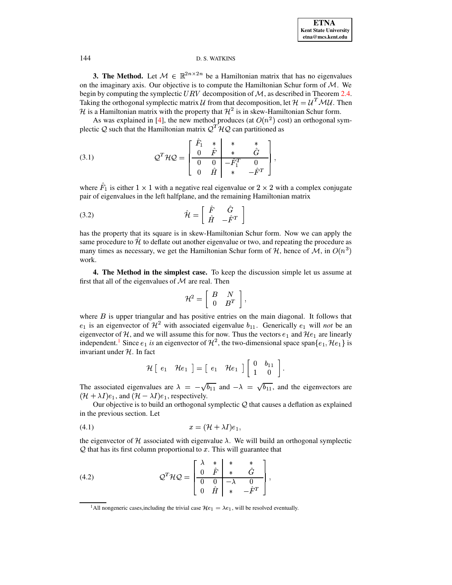<span id="page-3-4"></span>**3. The Method.** Let  $M \in \mathbb{R}^{2n \times 2n}$  be a Hamiltonian matrix that has no eigenvalues on the imaginary axis. Our objective is to compute the Hamiltonian Schur form of  $M$ . We begin by computing the symplectic  $URV$  decomposition of  $M$ , as described in Theorem [2.4.](#page-2-1) Taking the orthogonal symplectic matrix U from that decomposition, let  $\mathcal{H} = \mathcal{U}^T \mathcal{M} \mathcal{U}$ . Then H is a Hamiltonian matrix with the property that  $\mathcal{H}^2$  is in skew-Hamiltonian Schur form.

As was explained in [\[4\]](#page-16-0), the new method produces (at  $O(n^2)$  cost) an orthogonal symplectic Q such that the Hamiltonian matrix  $Q^T \mathcal{H} Q$  can partitioned as

<span id="page-3-6"></span>(3.1) 
$$
Q^{T} \mathcal{H} Q = \begin{bmatrix} \hat{F}_1 & * & * & * & * \\ 0 & \hat{F} & * & \hat{G} \\ \hline 0 & 0 & -\hat{F}_1^T & 0 \\ 0 & \hat{H} & * & -\hat{F}^T \end{bmatrix},
$$

where  $\hat{F}_1$  is either  $1 \times 1$  with a negative real eigenvalue or  $2 \times 2$  with a complex conjugate pair of eigenvalues in the left halfplane, and the remaining Hamiltonian matrix

<span id="page-3-1"></span>
$$
\hat{\mathcal{H}} = \begin{bmatrix} \hat{F} & \hat{G} \\ \hat{H} & -\hat{F}^{T} \end{bmatrix}
$$

has the property that its square is in skew-Hamiltonian Schur form. Now we can apply the same procedure to  $H$  to deflate out another eigenvalue or two, and repeating the procedure as many times as necessary, we get the Hamiltonian Schur form of  $\mathcal{H}$ , hence of  $\mathcal{M}$ , in  $O(n^3)$ work.

<span id="page-3-5"></span>**4. The Method in the simplest case.** To keep the discussion simple let us assume at first that all of the eigenvalues of  $M$  are real. Then

$$
\mathcal{H}^2 = \left[ \begin{array}{cc} B & N \\ 0 & B^T \end{array} \right],
$$

where  $B$  is upper triangular and has positive entries on the main diagonal. It follows that  $e_1$  is an eigenvector of  $\mathcal{H}^2$  with associated eigenvalue  $b_{11}$ . Generically  $e_1$  will *not* be an eigenvector of H, and we will assume this for now. Thus the vectors  $e_1$  and  $He_1$  are linearly independent.<sup>[1](#page-3-0)</sup> Since  $e_1$  is an eigenvector of  $\mathcal{H}^2$ , the two-dimensional space span $\{e_1, \mathcal{H}e_1\}$  is invariant under  $H$ . In fact

$$
\mathcal{H}\left[\begin{array}{cc}e_1 & \mathcal{H}e_1\end{array}\right]=\left[\begin{array}{cc}e_1 & \mathcal{H}e_1\end{array}\right]\left[\begin{array}{cc}0 & b_{11} \\ 1 & 0\end{array}\right].
$$

The associated eigenvalues are  $\lambda = -\sqrt{b_{11}}$  and  $-\lambda = \sqrt{b_{11}}$ , and the eigenvectors are + <sup>B</sup> <sup>N</sup>  $I$ ) $e_1$ , and  $(\mathcal{H} - \lambda I)e_1$ , respectively.

Our objective is to build an orthogonal symplectic  $Q$  that causes a deflation as explained in the previous section. Let

<span id="page-3-2"></span>
$$
(4.1) \t\t x = (\mathcal{H} + \lambda I)e_1,
$$

the eigenvector of  $H$  associated with eigenvalue  $\lambda$ . We will build an orthogonal symplectic  $Q$  that has its first column proportional to  $x$ . This will guarantee that

<span id="page-3-3"></span>(4.2) 
$$
Q^{T} \mathcal{H} Q = \begin{bmatrix} \lambda & * & * & * & * \\ 0 & \hat{F} & * & \hat{G} \\ 0 & 0 & -\lambda & 0 \\ 0 & \hat{H} & * & -\hat{F}^{T} \end{bmatrix},
$$

<span id="page-3-0"></span><sup>&</sup>lt;sup>1</sup>All nongeneric cases,including the trivial case  $\mathcal{H}e_1 = \lambda e_1$ , will be resolved eventually.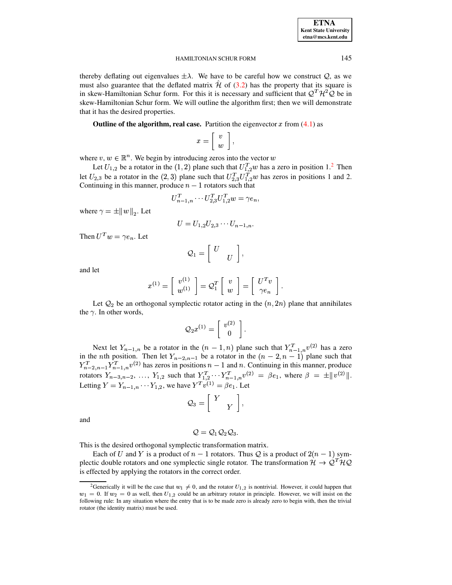thereby deflating out eigenvalues  $\pm \lambda$ . We have to be careful how we construct Q, as we must also guarantee that the deflated matrix  $\hat{\mathcal{H}}$  of [\(3.2\)](#page-3-1) has the property that its square is in skew-Hamiltonian Schur form. For this it is necessary and sufficient that  $Q^T H^2 Q$  be in skew-Hamiltonian Schur form. We will outline the algorithm first; then we will demonstrate that it has the desired properties.

**Outline** of the algorithm, real case. Partition the eigenvector  $x$  from  $(4.1)$  as

$$
x=\left[\begin{array}{c} v \\ w \end{array}\right],
$$

**Grand Contract Contract Contract Contract** 

where  $v, w \in \mathbb{R}^n$ . We begin by introducing zeros into the vector w

Let  $U_{1,2}$  $U_{1,2}$  $U_{1,2}$  be a rotator in the  $(1,2)$  plane such that  $U_{1,2}^T w$  has a zero in position 1.<sup>2</sup> Then let  $U_{2,3}$  be a rotator in the  $(2,3)$  plane such that  $U_{2,3}^T U_{1,2}^T w$  has zeros in positions 1 and 2. Continuing in this manner, produce  $n-1$  rotators such that

$$
U_{n-1,n}^T\cdots U_{2,3}^T U_{1,2}^T w = \gamma e_n,
$$

where  $\gamma = \pm ||w||_2$ . Let

$$
U=U_{1,2}U_{2,3}\cdots U_{n-1,n}.
$$

Then  $U^T w = \gamma e_n$ . Let

$$
\mathcal{Q}_1=\left[\begin{array}{cc} U & \\ & U \end{array}\right],
$$

and let

$$
x^{(1)} = \left[ \begin{array}{c} v^{(1)} \\ w^{(1)} \end{array} \right] = \mathcal{Q}_1^T \left[ \begin{array}{c} v \\ w \end{array} \right] = \left[ \begin{array}{c} U^T v \\ \gamma e_n \end{array} \right].
$$

Let  $\mathcal{Q}_2$  be an orthogonal symplectic rotator acting in the  $(n, 2n)$  plane that annihilates the  $\gamma$ . In other words,

$$
\mathcal Q_2 x^{(1)} = \left[\begin{array}{c} v^{(2)} \\ 0 \end{array}\right].
$$

Next let  $Y_{n-1,n}$  be a rotator in the  $(n-1,n)$  plane such that  $Y_{n-1,n}^T v^{(2)}$  has a zero in the *n*th position. Then let  $Y_{n-2,n-1}$  be a rotator in the  $(n-2,n-1)$  plane such that  $Y_{n-2,n-1}^T Y_{n-1,n}^T v^{(2)}$  has zeros in positions  $n-1$  and n. Continuing in this manner, produce rotators  $Y_{n-3,n-2}, \ldots, Y_{1,2}$  such that  $Y_{1,2}^T \cdots Y_{n-1,n}^T v^{(2)} = \beta e_1$ , where  $\beta = \pm ||v^{(2)}||$ . Letting  $Y = Y_{n-1,n} \cdots Y_{1,2}$ , we have  $Y^T v^{(1)} = \beta e_1$ . Let

$$
\mathcal{Q}_3=\left[\begin{array}{cc} Y\\&Y\end{array}\right],
$$

and

$$
\mathcal{Q}=\mathcal{Q}_1\mathcal{Q}_2\mathcal{Q}_3.
$$

This is the desired orthogonal symplectic transformation matrix.

Each of U and Y is a product of  $n-1$  rotators. Thus Q is a product of  $2(n-1)$  symplectic double rotators and one symplectic single rotator. The transformation  $\mathcal{H} \to \mathcal{Q}^T \mathcal{H} \mathcal{Q}$ is effected by applying the rotators in the correct order.

<span id="page-4-0"></span><sup>&</sup>lt;sup>2</sup>Generically it will be the case that  $w_1 \neq 0$ , and the rotator  $U_{1,2}$  is nontrivial. However, it could happen that  $w_1 = 0$ . If  $w_2 = 0$  as well, then  $U_{1,2}$  could be an arbitrary rotator in principle. However, we will insist on the following rule: In any situation where the entry that is to be made zero is already zero to begin with, then the trivial rotator (the identity matrix) must be used.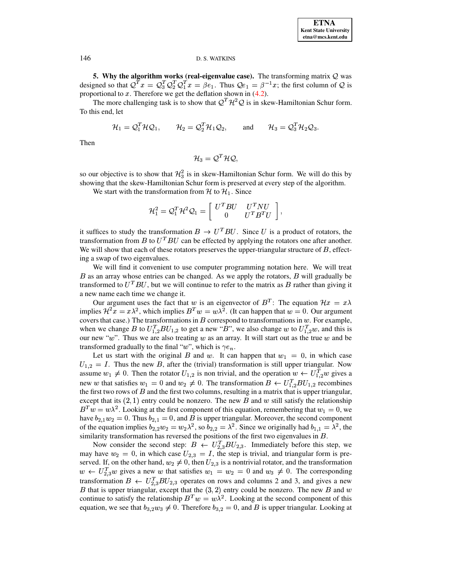**5.** Why the algorithm works (real-eigenvalue case). The transforming matrix  $Q$  was designed so that  $Q^T x = Q_3^T Q_2^T Q_1^T x = \beta e_1$ . Thus  $Q e_1 = \beta^{-1} x$ ; the first column of Q is proportional to x. Therefore we get the deflation shown in [\(4.2\)](#page-3-3).

The more challenging task is to show that  $Q^T H^2 Q$  is in skew-Hamiltonian Schur form. To this end, let

$$
\mathcal{H}_1 = \mathcal{Q}_1^T \mathcal{H} \mathcal{Q}_1, \qquad \mathcal{H}_2 = \mathcal{Q}_2^T \mathcal{H}_1 \mathcal{Q}_2, \qquad \text{and} \qquad \mathcal{H}_3 = \mathcal{Q}_3^T \mathcal{H}_2 \mathcal{Q}_3.
$$

Then

$$
\mathcal{H}_3=\mathcal{Q}^T\mathcal{H}\mathcal{Q},
$$

so our objective is to show that  $\mathcal{H}_3^2$  is in skew-Hamiltonian Schur form. We will do this by showing that the skew-Hamiltonian Schur form is preserved at every step of the algorithm.

We start with the transformation from H to  $\mathcal{H}_1$ . Since

$$
\mathcal{H}_1^2 = \mathcal{Q}_1^T \mathcal{H}^2 \mathcal{Q}_1 = \left[ \begin{array}{cc} U^T B U & U^T N U \\ 0 & U^T B^T U \end{array} \right],
$$

it suffices to study the transformation  $B \to U^T B U$ . Since U is a product of rotators, the transformation from B to  $U^T B U$  can be effected by applying the rotators one after another. We will show that each of these rotators preserves the upper-triangular structure of  $B$ , effecting a swap of two eigenvalues.

We will find it convenient to use computer programming notation here. We will treat  $B$  as an array whose entries can be changed. As we apply the rotators,  $B$  will gradually be transformed to  $U^T B U$ , but we will continue to refer to the matrix as B rather than giving it a new name each time we change it.

Our argument uses the fact that w is an eigenvector of  $B<sup>T</sup>$ : The equation  $\mathcal{H}x = x\lambda$ implies  $\mathcal{H}^2 x = x \lambda^2$ , which implies  $B^T w = w \lambda^2$ . (It can happen that  $w = 0$ . Our argument 0. Our argument covers that case.) The transformations in  $B$  correspond to transformations in  $w$ . For example, when we change B to  $U_{1,2}^T B U_{1,2}$  to get a new "B", we also change w to  $U_{1,2}^T w$ , and this is our new " $w$ ". Thus we are also treating  $w$  as an array. It will start out as the true  $w$  and be transformed gradually to the final "w", which is  $\gamma e_n$ .

Let us start with the original B and w. It can happen that  $w_1 = 0$ , in which case  $U_{1,2} = I$ . Thus the new B, after the (trivial) transformation is still upper triangular. assume  $w_1 \neq 0$ . Then the re-I. Thus the new  $B$ , after the (trivial) transformation is still upper triangular. Now 0. Then the rotator  $U_{1,2}$  is non trivial, and the operation  $w \leftarrow U_{1,2}^T w$  gives a new w that satisfies  $w_1 = 0$  and  $w_2 \neq 0$ . The transformation  $B \leftarrow U_{1,2}^T B U_{1,2}$  recombines the first two rows of B and the first two columns, resulting in a matrix that is upper triangular, except that its  $(2, 1)$  entry could be nonzero. The new B and w still satisfy the relationship  $B<sup>T</sup> w = w \lambda<sup>2</sup>$ . Looking at the first component of this equation, remembering that  $w_1 = 0$ , we have  $b_{2,1}w_2 = 0$ . Thus  $b_{2,1} = 0$ , and B is upper triangular. Moreover, the second component of the equation implies  $b_{2,2}w_2 = w_2\lambda^2$ , so  $b_{2,2} = \lambda^2$ . Since we originally had  $b_{1,1} = \lambda^2$ , the similarity transformation has reversed the positions of the first two eigenvalues in  $B$ .

Now consider the second step:  $B \leftarrow U_{2,3}^T B U_{2,3}$ . Immediately before this step, we may have  $w_2 = 0$ , in which case  $U_{2,3} = I$ , the step is trivial, and triangular form is preserved. If, on the other hand,  $w_2 \neq 0$ , then  $U_{2,3}$  is a nontr 0, then  $U_{2,3}$  is a nontrivial rotator, and the transformation  $w \leftarrow U_{2,3}^T w$  gives a new w that satisfies  $w_1 = w_2 = 0$  and  $w_3 \neq$ 0 and  $w_3 \neq 0$ . The corres 0. The corresponding transformation  $B \leftarrow U_{2,3}^T B U_{2,3}$  operates on rows and columns 2 and 3, and gives a new B that is upper triangular, except that the  $(3, 2)$  entry could be nonzero. The new B and w continue to satisfy the relationship  $B^T w = w \lambda^2$ . Looking at the second component of this equation, we see that  $b_{3,2}w_3 \neq 0$ . Therefore  $b$ 0. Therefore  $b_{3,2} = 0$ , and B is up 0, and  $B$  is upper triangular. Looking at

<span id="page-5-0"></span>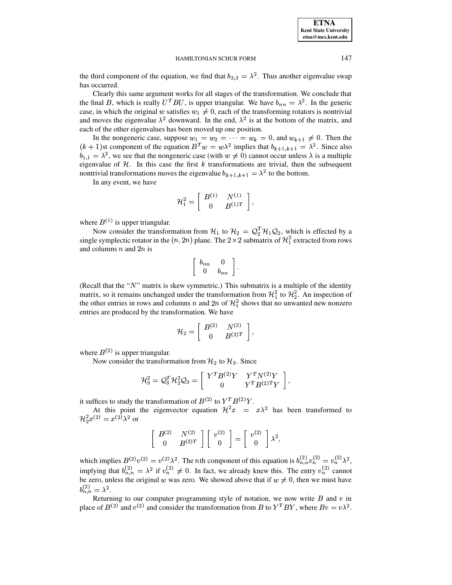the third component of the equation, we find that  $b_{3,3} = \lambda^2$ . Thus another eigenvalue swap has occurred.

Clearly this same argument works for all stages of the transformation. We conclude that the final B, which is really  $U^T B U$ , is upper triangular. We have  $b_{nn} = \lambda^2$ . In the generic case, in which the original w satisfies  $w_1 \neq 0$ , each of the transforming rotators is nontrivial and moves the eigenvalue  $\lambda^2$  downward. In the end,  $\lambda^2$  is at the bottom of the matrix, and each of the other eigenvalues has been moved up one position.

In the nongeneric case, suppose  $w_1 = w_2 = \cdots = w_k = 0$ , and  $w_{k+1} = \cdots$ ( $k + 1$ )st component of the equation  $B^T w = w\lambda^2$  implies that  $b_{k+1,k+1} = \lambda^2$ . Since also 0, and  $w_{k+1} \neq 0$ . Then the  $b_{1,1} = \lambda^2$ , we see that the nongeneric case (with  $w \neq 0$ ) cannot occur unless  $\lambda$  is a multiple eigenvalue of  $H$ . In this case the first k transformations are trivial, then the subsequent nontrivial transformations moves the eigenvalue  $b_{k+1,k+1} = \lambda^2$  to the bottom.

In any event, we have

$$
{\cal H}_1^2 = \left[ \begin{array}{cc} B^{(1)} & N^{(1)} \\ 0 & B^{(1)T} \end{array} \right],
$$

where  $B^{(1)}$  is upper triangular.

Now consider the transformation from  $\mathcal{H}_1$  to  $\mathcal{H}_2 = \mathcal{Q}_2^T \mathcal{H}_1 \mathcal{Q}_2$ , which is effected by a single symplectic rotator in the  $(n, 2n)$  plane. The  $2 \times 2$  submatrix of  $\mathcal{H}_1^2$  extracted from rows and columns  $n$  and  $2n$  is

$$
\left[\begin{array}{cc} b_{nn} & 0 \\ 0 & b_{nn} \end{array}\right].
$$

(Recall that the " $N$ " matrix is skew symmetric.) This submatrix is a multiple of the identity matrix, so it remains unchanged under the transformation from  $\mathcal{H}_1^2$  to  $\mathcal{H}_2^2$ . An inspection of the other entries in rows and columns n and 2n of  $\mathcal{H}_1^2$  shows that no unwanted new nonzero entries are produced by the transformation. We have

$$
\mathcal{H}_2=\left[\begin{array}{cc}B^{(2)} & N^{(2)}\\ 0 & B^{(2)T}\end{array}\right],
$$

where  $B^{(2)}$  is upper triangular.

Now consider the transformation from  $\mathcal{H}_2$  to  $\mathcal{H}_3$ . Since

$$
\mathcal{H}_3^2 = \mathcal{Q}_3^T \mathcal{H}_2^2 \mathcal{Q}_3 = \left[ \begin{array}{cc} Y^T B^{(2)}Y & Y^T N^{(2)}Y \\ 0 & Y^T B^{(2)T}Y \end{array} \right],
$$

it suffices to study the transformation of  $B^{(2)}$  to  $Y^T B^{(2)} Y$ .

At this point the eigenvector equation  $\mathcal{H}^2 x = x\lambda^2$  has been transformed to  $\mathcal{H}^2_2 x^{(2)} = x^{(2)} \lambda^2$  or

$$
\left[\begin{array}{cc}B^{(2)} & N^{(2)}\\0 & B^{(2)T}\end{array}\right]\left[\begin{array}{c}v^{(2)}\\0\end{array}\right]=\left[\begin{array}{c}v^{(2)}\\0\end{array}\right]\lambda^2,
$$

which implies  $B^{(2)}v^{(2)} = v^{(2)}\lambda^2$ . The *n*th component of this equation is  $b_{n,n}^{(2)}v_n^{(2)} = v_n^{(2)}\lambda^2$ , implying that  $b_{n,n}^{(2)} = \lambda^2$  if  $v_n^{(2)} \neq 0$ . In fact, we already knew this. The entry  $v_n^{(2)}$  cannot be zero, unless the original w was zero. We showed above that if  $w \neq 0$ , then we must have 0, then we must have  $b_{n,n}^{(2)} = \lambda^2$ .

Returning to our computer programming style of notation, we now write  $B$  and  $v$  in place of  $B^{(2)}$  and  $v^{(2)}$  and consider the transformation from B to  $Y^TBY$ , where  $Bv = v\lambda^2$ .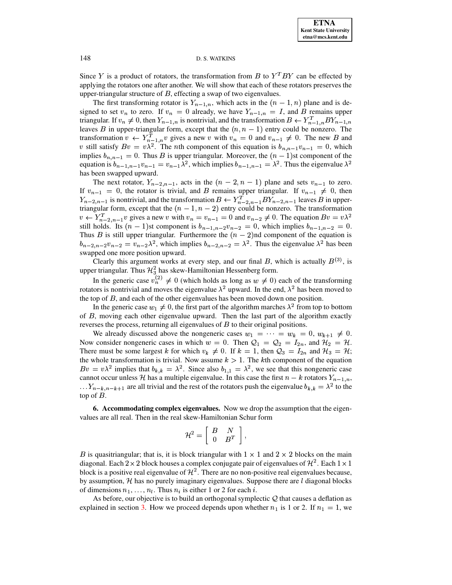Since Y is a product of rotators, the transformation from B to  $Y^TBY$  can be effected by applying the rotators one after another. We will show that each of these rotators preserves the upper-triangular structure of  $B$ , effecting a swap of two eigenvalues.

The first transforming rotator is  $Y_{n-1,n}$ , which acts in the  $(n-1,n)$  plane and is designed to set  $v_n$  to zero. If  $v_n = 0$  already, we have  $Y_{n-1,n} = I$ , and B remains upper triangular. If  $v_n \neq 0$ , then  $Y_{n-1,n}$  is nontrivial, and the transformation  $B \leftarrow Y_{n-1}^T$ 0, then  $Y_{n-1,n}$  is nontrivial, and the transformation  $B \leftarrow Y_{n-1,n}^T BY_{n-1,n}$ leaves B in upper-triangular form, except that the  $(n, n - 1)$  entry could be nonzero. The transformation  $v \leftarrow Y_{n-1,n}^T v$  gives a new v with  $v_n = 0$  and  $v_{n-1} \neq 0$ . The new B and which is the third of the term of this equation is  $b_{n,n-1}v_{n-1} = 0$ , which will satisfy  $Bv = v\lambda^2$ . The *n*th component of this equation is  $b_{n,n-1}v_{n-1} = 0$ , which implies  $b_{n,n-1} = 0$ . Thus *B* is upper triangular. Moreover, the  $(n-1)$ st component of the equation is  $b_{n-1,n-1}v_{n-1} = v_{n-1}\lambda^2$ , which implies  $b_{n-1,n-1} = \lambda^2$ . Thus the eigenvalue  $\lambda^2$ has been swapped upward.

The next rotator,  $Y_{n-2,n-1}$ , acts in the  $(n-2,n-1)$  plane and sets  $v_{n-1}$  to zero. If  $v_{n-1} = 0$ , the rotator is trivial, and B remains upper triangular. If  $v_{n-1} \neq 0$ , then  $Y_{n-2,n-1}$  is nontrivial, and the transformation  $B \leftarrow Y_{n-2,n-1}^T BY_{n-2,n-1}$  leaves B in uppertriangular form, except that the  $(n-1, n-2)$  entry could be nonzero. The transformation  $v \leftarrow Y_{n-2,n-1}^T v$  gives a new v with  $v_n = v_{n-1} = 0$  and  $v_{n-2} \neq$ 0 and  $v_{n-2} \neq 0$ . The equation 0. The equation  $Bv = v\lambda^2$ still holds. Its  $(n-1)$ st component is  $b_{n-1,n-2}v_{n-2} = 0$ , which imp 0, which implies  $b_{n-1,n-2} = 0$ .  $0.$ Thus B is still upper triangular. Furthermore the  $(n-2)$ nd component of the equation is  $b_{n-2,n-2}v_{n-2} = v_{n-2}\lambda^2$ , which implies  $b_{n-2,n-2} = \lambda^2$ . Thus the eigenvalue  $\lambda^2$  has been swapped one more position upward.

Clearly this argument works at every step, and our final  $B$ , which is actually  $B^{(3)}$ , is upper triangular. Thus  $\mathcal{H}^2_3$  has skew-Hamiltonian Hessenberg form.

In the generic case  $v_n^{(2)} \neq 0$  (which holds as long as  $w \neq 0$ ) each of the transforming rotators is nontrivial and moves the eigenvalue  $\lambda^2$  upward. In the end,  $\lambda^2$  has been moved to the top of  $B$ , and each of the other eigenvalues has been moved down one position.

In the generic case  $w_1 \neq 0$ , the first part 0, the first part of the algorithm marches  $\lambda^2$  from top to bottom of  $B$ , moving each other eigenvalue upward. Then the last part of the algorithm exactly reverses the process, returning all eigenvalues of  $B$  to their original positions.

We already discussed above the nongeneric cases  $w_1 = \cdots = w_k = 0, w_{k+1} \neq 0$ 0,  $w_{k+1} \neq 0$ .  $0.$ Now consider nongeneric cases in which  $w = 0$ . Then  $\mathcal{Q}_1$ 0. Then  $Q_1 = Q_2 = I_{2n}$ , and  $\mathcal{H}_2$  $I_{2n}$ , and  $\mathcal{H}_2 = \mathcal{H}$ . There must be some largest k for which  $v_k \neq 0$ . If  $k = 1$ , then  $\mathcal{Q}_3 = I_{2n}$  and  $\mathcal{H}_3 =$  $I_{2n}$  and  $\mathcal{H}_3 = \mathcal{H};$ the whole transformation is trivial. Now assume  $k > 1$ . The kth component of the equation  $Bv = v\lambda^2$  implies that  $b_{k,k} = \lambda^2$ . Since also  $b_{1,1} = \lambda^2$ , we see that this nongeneric case cannot occur unless H has a multiple eigenvalue. In this case the first  $n - k$  rotators  $Y_{n-1,n}$ ,  $\ldots Y_{n-k,n-k+1}$  are all trivial and the rest of the rotators push the eigenvalue  $b_{k,k} = \lambda^2$  to the top of  $B$ .

**6. Accommodating complex eigenvalues.** Now we drop the assumption that the eigenvalues are all real. Then in the real skew-Hamiltonian Schur form

$$
\mathcal{H}^2 = \left[ \begin{array}{cc} B & N \\ 0 & B^T \end{array} \right],
$$

B is quasitriangular; that is, it is block triangular with  $1 \times 1$  and  $2 \times 2$  blocks on the main diagonal. Each 2  $\times$  2 block houses a complex conjugate pair of eigenvalues of  $\mathcal{H}^2$ . Each 1  $\times$  1 block is a positive real eigenvalue of  $\mathcal{H}^2$ . There are no non-positive real eigenvalues because, by assumption,  $H$  has no purely imaginary eigenvalues. Suppose there are  $l$  diagonal blocks of dimensions  $n_1, \ldots, n_l$ . Thus  $n_i$  is either 1 or 2 for each i.

As before, our objective is to build an orthogonal symplectic  $Q$  that causes a deflation as explained in section [3.](#page-3-4) How we proceed depends upon whether  $n_1$  is 1 or 2. If  $n_1 = 1$ , we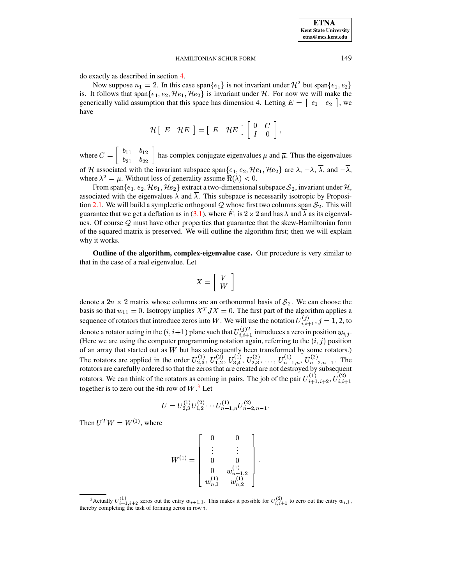do exactly as described in section [4.](#page-3-5)

Now suppose  $n_1 = 2$ . In this case span $\{e_1\}$  is not invariant under  $\mathcal{H}^2$  but span $\{e_1, e_2\}$ is. It follows that span $\{e_1, e_2, \mathcal{H}e_1, \mathcal{H}e_2\}$  is invariant under  $\mathcal{H}$ . For now we will make the generically valid assumption that this space has dimension 4. Letting  $E = \begin{bmatrix} e_1 & e_2 \end{bmatrix}$ , we have

$$
\mathcal{H}\left[\begin{array}{ccc} E & \mathcal{H}E \end{array}\right] = \left[\begin{array}{ccc} E & \mathcal{H}E \end{array}\right] \left[\begin{array}{cc} 0 & C \\ I & 0 \end{array}\right],
$$

" #

a a contra de la contra de la contra de la contra de la contra de la contra de la contra de la contra de la co

where  $C = \begin{bmatrix} b_{11} & b_{12} \\ b_{21} & b_{22} \end{bmatrix}$  has complex conjugate eigenvalues  $\mu$  and  $\overline{\mu}$ . Thus the eigenvalues of H associated with the invariant subspace span $\{e_1, e_2, \mathcal{H}e_1, \mathcal{H}e_2\}$  are  $\lambda$ ,  $-\lambda$ ,  $\overline{\lambda}$ , and  $-\overline{\lambda}$ , where  $\lambda^2 = \mu$ . Without loss of generality assume  $\Re(\lambda) < 0$ .

From span $\{e_1, e_2, \mathcal{H}e_1, \mathcal{H}e_2\}$  extract a two-dimensional subspace  $S_2$ , invariant under  $\mathcal{H}$ , associated with the eigenvalues  $\lambda$  and  $\lambda$ . This subspace is necessarily isotropic by Proposi-tion [2.1.](#page-1-0) We will build a symplectic orthogonal Q whose first two columns span  $S_2$ . This will guarantee that we get a deflation as in [\(3.1\)](#page-3-6), where  $\hat{F}_1$  is  $2 \times 2$  and has  $\lambda$  and  $\overline{\lambda}$  as its eigenvalues. Of course  $Q$  must have other properties that guarantee that the skew-Hamiltonian form of the squared matrix is preserved. We will outline the algorithm first; then we will explain why it works.

**Outline of the algorithm, complex-eigenvalue case.** Our procedure is very similar to that in the case of a real eigenvalue. Let

$$
X=\left[\begin{array}{c} V \\ W \end{array}\right]
$$

denote a  $2n \times 2$  matrix whose columns are an orthonormal basis of  $S_2$ . We can choose the basis so that  $w_{11} = 0$ . Isotropy implies  $X^T J X = 0$ . The first part of the algorithm applies a sequence of rotators that introduce zeros into W. We will use the notation  $U_{i,j+1}^{(j)}$ ,  $j = 1, 2$ , to denote a rotator acting in the  $(i, i+1)$  plane such that  $U_{i,i+1}^{(j)T}$  introduces a zero in position  $w_{i,j}$ . (Here we are using the computer programming notation again, referring to the  $(i, j)$  position of an array that started out as  $W$  but has subsequently been transformed by some rotators.) The rotators are applied in the order  $U_{2,3}^{(1)}, U_{1,2}^{(2)}, U_{3,4}^{(1)}, U_{2,3}^{(2)}, \ldots, U_{n-1,n}^{(1)}, U_{n-2,n-1}^{(2)}$ . The rotators are carefully ordered so that the zeros that are created are not destroyed by subsequent rotators. We can think of the rotators as coming in pairs. The job of the pair  $U_{i+1,i+2}^{(1)}$ ,  $U_{i,i+1}^{(2)}$ together is to zero out the *i*th row of  $W$ <sup>[3](#page-8-0)</sup>. Let

$$
U = U_{2,3}^{(1)} U_{1,2}^{(2)} \cdots U_{n-1,n}^{(1)} U_{n-2,n-1}^{(2)}.
$$

Then  $U^T W = W^{(1)}$ , where

$$
W^{(1)}=\left[\begin{array}{cc}0&0\\ \vdots&\vdots\\0&0\\0&w_{n-1,2}^{(1)}\\w_{n,1}^{(1)}&w_{n,2}^{(1)}\end{array}\right].
$$

<span id="page-8-0"></span><sup>&</sup>lt;sup>3</sup> Actually  $U_{i+1,i+2}^{(1)}$  zeros out the entry  $w_{i+1,1}$ . This makes it possible for  $U_{i,i+1}^{(2)}$  to zero out the entry  $w_{i,1}$ , thereby completing the task of forming zeros in row  $i$ .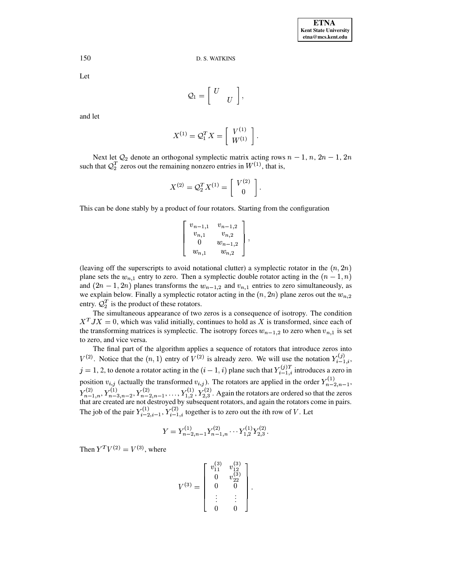Let

$$
\mathcal{Q}_1=\left[\begin{array}{cc} U & \\ & U \end{array}\right],
$$

and let

$$
X^{(1)} = \mathcal{Q}_1^T X = \left[ \begin{array}{c} V^{(1)} \\ W^{(1)} \end{array} \right].
$$

Next let  $Q_2$  denote an orthogonal symplectic matrix acting rows  $n-1$ ,  $n$ ,  $2n-1$ ,  $2n$ such that  $Q_2^T$  zeros out the remaining nonzero entries in  $W^{(1)}$ , that is,

$$
X^{(2)} = \mathcal{Q}_2^T X^{(1)} = \left[ \begin{array}{c} V^{(2)} \\ 0 \end{array} \right].
$$

This can be done stably by a product of four rotators. Starting from the configuration

$$
\left[\begin{array}{cc} v_{n-1,1} & v_{n-1,2} \\ v_{n,1} & v_{n,2} \\ 0 & w_{n-1,2} \\ w_{n,1} & w_{n,2} \end{array}\right],
$$

a a shekara

(leaving off the superscripts to avoid notational clutter) a symplectic rotator in the  $(n, 2n)$ plane sets the  $w_{n,1}$  entry to zero. Then a symplectic double rotator acting in the  $(n-1, n)$ and  $(2n-1, 2n)$  planes transforms the  $w_{n-1,2}$  and  $v_{n,1}$  entries to zero simultaneously, as we explain below. Finally a symplectic rotator acting in the  $(n, 2n)$  plane zeros out the  $w_{n,2}$ entry.  $\mathcal{Q}_2^T$  is the product of these rotators.

 The simultaneous appearance of two zeros is a consequence of isotropy. The condition  $X^T J X = 0$ , which was valid initially, continues to hold as X is transformed, since each of the transforming matrices is symplectic. The isotropy forces  $w_{n-1,2}$  to zero when  $v_{n,1}$  is set to zero, and vice versa.

The final part of the algorithm applies a sequence of rotators that introduce zeros into  $V^{(2)}$ . Notice that the  $(n,1)$  entry of  $V^{(2)}$  is already zero. We will use the notation  $Y_{i-1,i}^{(J)}$ ,  $j = 1, 2$ , to denote a rotator acting in the  $(i - 1, i)$  plane such that  $Y_{i-1,i}^{(j)T}$  introduces a zero in position  $v_{i,j}$  (actually the transformed  $v_{i,j}$ ). The rotators are applied in the order  $Y_{n-2,n-1}^{(1)}$ ,  $\overline{\phantom{a}}$  $Y_{n-1,n}^{(2)}$ ,  $Y_{n-3,n-2}^{(1)}$ ,  $Y_{n-2,n-1}^{(2)}$ ,  $Y_{1,2}^{(2)}$ ,  $Y_{2,3}^{(2)}$ . Again the rotators are ordered so that the zeros that are created are not destroyed by subsequent rotators, and again the rotators come in pairs. The job of the pair  $Y_{i-2,i-1}^{(1)}$ ,  $Y_{i-1,i}^{(2)}$  together is to zero out the *i*th row of V. Let

$$
Y = Y_{n-2,n-1}^{(1)} Y_{n-1,n}^{(2)} \cdots Y_{1,2}^{(1)} Y_{2,3}^{(2)}.
$$

Then  $Y^T V^{(2)} = V^{(3)}$ , where

$$
V^{(3)} = \left[ \begin{array}{cc} v_{11}^{(3)} & v_{12}^{(3)} \\ 0 & v_{22}^{(3)} \\ 0 & 0 \\ \vdots & \vdots \\ 0 & 0 \end{array} \right].
$$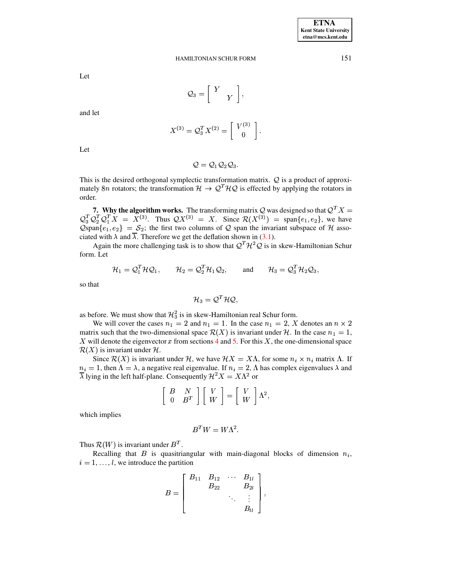Let

$$
\mathcal{Q}_3 = \left[ \begin{array}{cc} Y \\ & Y \end{array} \right],
$$

and let

$$
X^{(3)} = \mathcal{Q}_3^T X^{(2)} = \left[ \begin{array}{c} V^{(3)} \\ 0 \end{array} \right].
$$

Let

$$
\mathcal{Q}=\mathcal{Q}_1\mathcal{Q}_2\mathcal{Q}_3.
$$

This is the desired orthogonal symplectic transformation matrix.  $Q$  is a product of approximately 8n rotators; the transformation  $H \rightarrow Q^T H Q$  is effected by applying the rotators in order.

**7. Why the algorithm works.** The transforming matrix Q was designed so that  $Q^T X =$  $Q_3^T Q_2^T Q_1^T X = X^{(3)}$ . Thus  $QX^{(3)} = X$ . Since  $\mathcal{R}(X^{(3)}) = \text{span}\{e_1, e_2\}$ , we have  $\mathcal{L}_{3}$   $\mathcal{L}_{2}$   $\mathcal{L}_{1}$  in the span  $\{e_1, e_2\}$  =  $\mathcal{S}_2$ ; the first two columns of Q span the invariant subspace of H asso- $\sum$   $\sum$   $\sum$  of  $\sum$  and  $\sum$  and  $\sum$ . Therefore we get the deflation shown in [\(3.1\)](#page-3-6).

Again the more challenging task is to show that  $Q^T H^2 Q$  is in skew-Hamiltonian Schur form. Let

$$
\mathcal{H}_1 = \mathcal{Q}_1^T \mathcal{H} \mathcal{Q}_1, \qquad \mathcal{H}_2 = \mathcal{Q}_2^T \mathcal{H}_1 \mathcal{Q}_2, \qquad \text{and} \qquad \mathcal{H}_3 = \mathcal{Q}_3^T \mathcal{H}_2 \mathcal{Q}_3,
$$

so that

$$
\mathcal{H}_3 = \mathcal{Q}^T \mathcal{H} \mathcal{Q},
$$

as before. We must show that  $\mathcal{H}_3^2$  is in skew-Hamiltonian real Schur form.

We will cover the cases  $n_1 = 2$  and  $n_1 = 1$ . In the case  $n_1 = 2$ , X denotes an  $n \times 2$ matrix such that the two-dimensional space  $\mathcal{R}(X)$  is invariant under  $\mathcal{H}$ . In the case  $n_1 = 1$ , X will denote the eigenvector x from sections [4](#page-3-5) and [5.](#page-5-0) For this  $X$ , the one-dimensional space  $\mathcal{R}(X)$  is invariant under H.

Since  $\mathcal{R}(X)$  is invariant under H, we have  $\mathcal{H}X = X\Lambda$ , for some  $n_i \times n_i$  matrix  $\Lambda$ . If  $n_i = 1$ , then  $\Lambda = \lambda$ , a negative real eigenvalue. If  $n_i = 2$ ,  $\Lambda$  has complex eigenvalues  $\lambda$  and  $\overline{\lambda}$  lying in the left half-plane. Consequently  $\mathcal{H}^2 X = X\Lambda^2$  or

$$
\left[\begin{array}{cc} B & N \\ 0 & B^T \end{array}\right] \left[\begin{array}{c} V \\ W \end{array}\right] = \left[\begin{array}{c} V \\ W \end{array}\right] \Lambda^2,
$$

which implies

$$
B^T W = W \Lambda^2.
$$

Thus  $\mathcal{R}(W)$  is invariant under  $B^T$ .

Recalling that  $B$  is quasitriangular with main-diagonal blocks of dimension  $n_i$ ,  $i = 1, \ldots, l$ , we introduce the partition

$$
B = \left[ \begin{array}{cccc} B_{11} & B_{12} & \cdots & B_{1l} \\ & B_{22} & & B_{2l} \\ & & \ddots & \vdots \\ & & & B_{ll} \end{array} \right],
$$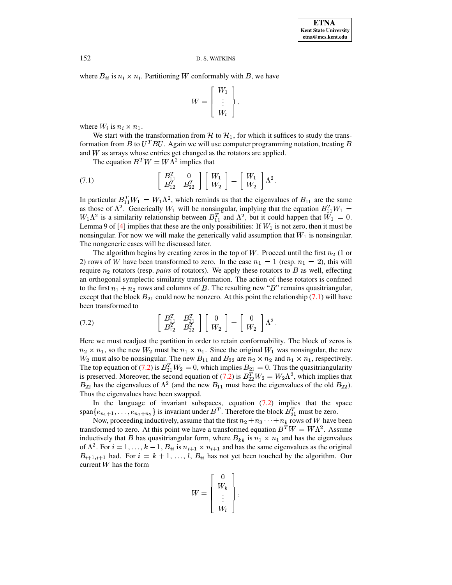where  $B_{ii}$  is  $n_i \times n_i$ . Partitioning W conformably with B, we have

$$
W=\left[\begin{array}{c} W_1 \\ \vdots \\ W_l \end{array}\right],
$$

where  $W_i$  is  $n_i \times n_1$ .

We start with the transformation from H to  $H_1$ , for which it suffices to study the transformation from B to  $U^T B U$ . Again we will use computer programming notation, treating B and  $W$  as arrays whose entries get changed as the rotators are applied.

<span id="page-11-0"></span>The equation  $B^T W = W \Lambda^2$  implies that

(7.1) 
$$
\left[\begin{array}{cc} B_{11}^T & 0 \\ B_{12}^T & B_{22}^T \end{array}\right] \left[\begin{array}{c} W_1 \\ W_2 \end{array}\right] = \left[\begin{array}{c} W_1 \\ W_2 \end{array}\right] \Lambda^2.
$$

In particular  $B_{11}^T W_1 = W_1 \Lambda^2$ , which reminds us that the eigenvalues of  $B_{11}$  are the same as those of  $\Lambda^2$ . Generically  $W_1$  will be nonsingular, implying that the equation  $B_{11}^T W_1 = W_1 A_2^T W_2$ .  $W_1 \Lambda^2$  is a similarity relationship between  $B_{11}^T$  and  $\Lambda^2$ , but it could happen that  $W_1 = 0$ .  $0.$ Lemma 9 of [\[4\]](#page-16-0) implies that these are the only possibilities: If  $W_1$  is not zero, then it must be nonsingular. For now we will make the generically valid assumption that  $W_1$  is nonsingular. The nongeneric cases will be discussed later.

The algorithm begins by creating zeros in the top of W. Proceed until the first  $n_2$  (1 or 2) rows of W have been transformed to zero. In the case  $n_1 = 1$  (resp.  $n_1 = 2$ ), this will require  $n_2$  rotators (resp. *pairs* of rotators). We apply these rotators to  $B$  as well, effecting an orthogonal symplectic similarity transformation. The action of these rotators is confined to the first  $n_1 + n_2$  rows and columns of B. The resulting new "B" remains quasitriangular,  $\frac{1}{2}$  become that the block  $B_{21}$  could now be nonzero. At this point the relationship [\(7.1\)](#page-11-0) will have been transformed to

<span id="page-11-1"></span>(7.2) 
$$
\left[\begin{array}{cc} B_{11}^T & B_{21}^T \\ B_{12}^T & B_{22}^T \end{array}\right] \left[\begin{array}{c} 0 \\ W_2 \end{array}\right] = \left[\begin{array}{c} 0 \\ W_2 \end{array}\right] \Lambda^2.
$$

Here we must readjust the partition in order to retain conformability. The block of zeros is  $n_2 \times n_1$ , so the new  $W_2$  must be  $n_1 \times n_1$ . Since the original  $W_1$  was nonsingular, the new  $W_2$  must also be nonsingular. The new  $B_{11}$  and  $B_{22}$  are  $n_2 \times n_2$  and  $n_1 \times n_1$ , respectively. The top equation of [\(7.2\)](#page-11-1) is  $B_{21}^T W_2 = 0$ , which implies J 0, which implies  $B_{21} = 0$ . Thus the qu 0. Thus the quasitriangularity is preserved. Moreover, the second equation of [\(7.2\)](#page-11-1) is  $B_{22}^T W_2 = W_2 \Lambda^2$ , which implies that  $B_{22}$  has the eigenvalues of  $\Lambda^2$  (and the new  $B_{11}$  must have the eigenvalues of the old  $B_{22}$ ). Thus the eigenvalues have been swapped.

In the language of invariant subspaces, equation  $(7.2)$  implies that the space span  $\{e_{n_1+1}, \ldots, e_{n_1+n_2}\}$  is invariant under  $B^T$ . Therefore the block  $B_{21}^T$  must be zero.

Now, proceeding inductively, assume that the first  $n_2 + n_3 \cdots + n_k$  rows of W have been transformed to zero. At this point we have a transformed equation  $B^T W = W \Lambda^2$ . Assume inductively that B has quasitriangular form, where  $B_{kk}$  is  $n_1 \times n_1$  and has the eigenvalues of  $\Lambda^2$ . For  $i = 1, ..., k - 1$ ,  $B_{ii}$  is  $n_{i+1} \times n_{i+1}$  and has the same eigenvalues as the original  $B_{i+1,i+1}$  had. For  $i = k+1, ..., l$ ,  $B_{ii}$  has not yet been touched by the algorithm. Our current  $W$  has the form

$$
W = \left[\begin{array}{c} 0 \\ W_k \\ \vdots \\ W_l \end{array}\right],
$$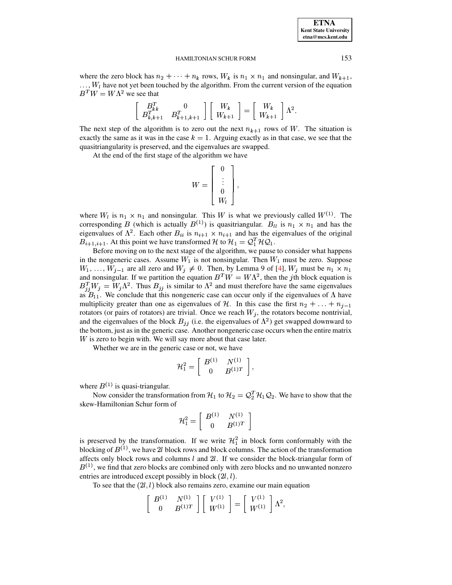where the zero block has  $n_2 + \cdots + n_k$  rows,  $W_k$  is  $n_1 \times n_1$  and nonsingular, and  $W_{k+1}$ ,  $\mathcal{L}$ ,  $W_l$  have not yet been touched by the algorithm. From the current version of the equation  $B^T W = W \Lambda^2$  we see that

$$
\left[\begin{array}{cc} B_{kk}^T & 0 \\ B_{k,k+1}^T & B_{k+1,k+1}^T \end{array}\right] \left[\begin{array}{c} W_k \\ W_{k+1} \end{array}\right] = \left[\begin{array}{c} W_k \\ W_{k+1} \end{array}\right] \Lambda^2.
$$

The next step of the algorithm is to zero out the next  $n_{k+1}$  rows of W. The situation is exactly the same as it was in the case  $k = 1$ . Arguing exactly as in that case, we see that the quasitriangularity is preserved, and the eigenvalues are swapped.

At the end of the first stage of the algorithm we have

$$
W = \left[ \begin{array}{c} 0 \\ \vdots \\ 0 \\ W_l \end{array} \right],
$$

where  $W_l$  is  $n_1 \times n_1$  and nonsingular. This W is what we previously called  $W^{(1)}$ . The corresponding B (which is actually  $B^{(1)}$ ) is quasitriangular. B<sub>u</sub> is  $n_1 \times n_1$  and has the eigenvalues of  $\Lambda^2$ . Each other  $B_{ii}$  is  $n_{i+1} \times n_{i+1}$  and has the eigenvalues of the original  $B_{i+1,i+1}$ . At this point we have transformed H to  $\mathcal{H}_1 = \mathcal{Q}_1^T \mathcal{H} \mathcal{Q}_1$ .

Before moving on to the next stage of the algorithm, we pause to consider what happens in the nongeneric cases. Assume  $W_1$  is not nonsingular. Then  $W_1$  must be zero. Suppose  $W_1, \ldots, W_{j-1}$  are all zero and  $W_j \neq 0$ . Then, by Lemma 9 of [4],  $W_j$ and nonsingular. If we partition the equation  $B^T W = W \Lambda^2$ , then the jth block equation is 0. Then, by Lemma 9 of [\[4\]](#page-16-0),  $W_j$  must be  $n_1 \times n_1$  $B_{j,j}^T W_j = W_j \Lambda^2$ . Thus  $B_{j,j}$  is similar to  $\Lambda^2$  and must therefore have the same eigenvalues as  $B_{11}$ . We conclude that this nongeneric case can occur only if the eigenvalues of  $\Lambda$  have multiplicity greater than one as eigenvalues of H. In this case the first  $n_2 + \ldots + n_{j-1}$ rotators (or pairs of rotators) are trivial. Once we reach  $W_j$ , the rotators become nontrivial, and the eigenvalues of the block  $B_{jj}$  (i.e. the eigenvalues of  $\Lambda^2$ ) get swapped downward to the bottom, just as in the generic case. Another nongeneric case occurs when the entire matrix W is zero to begin with. We will say more about that case later.

Whether we are in the generic case or not, we have

$$
{\cal H}_1^2 = \left[ \begin{array}{cc} B^{(1)} & N^{(1)} \\ 0 & B^{(1)T} \end{array} \right],
$$

where  $B^{(1)}$  is quasi-triangular.

Now consider the transformation from  $\mathcal{H}_1$  to  $\mathcal{H}_2 = \mathcal{Q}_2^T \mathcal{H}_1 \mathcal{Q}_2$ . We have to show that the skew-Hamiltonian Schur form of

$$
\mathcal{H}^2_1=\left[\begin{array}{cc}B^{(1)} & N^{(1)}\\0 & B^{(1)T}\end{array}\right]
$$

is preserved by the transformation. If we write  $\mathcal{H}_1^2$  in block form conformably with the blocking of  $B^{(1)}$ , we have 2l block rows and block columns. The action of the transformation affects only block rows and columns  $l$  and  $2l$ . If we consider the block-triangular form of  $B^{(1)}$ , we find that zero blocks are combined only with zero blocks and no unwanted nonzero entries are introduced except possibly in block  $(2l, l)$ .

To see that the  $(2l, l)$  block also remains zero, examine our main equation

$$
\left[\begin{array}{cc}B^{(1)} & N^{(1)}\\0 & B^{(1)T}\end{array}\right]\left[\begin{array}{c}V^{(1)}\\W^{(1)}\end{array}\right]=\left[\begin{array}{c}V^{(1)}\\W^{(1)}\end{array}\right]\Lambda^2,
$$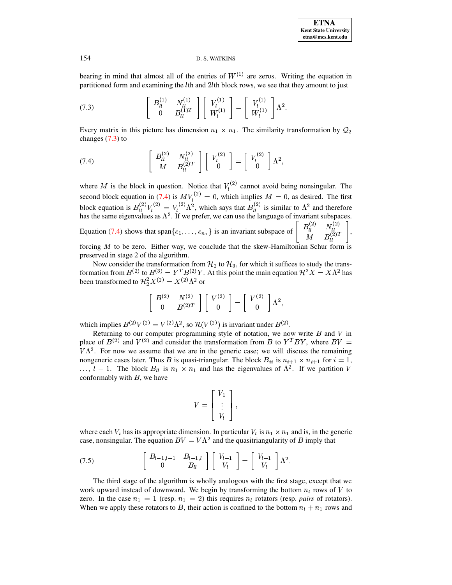bearing in mind that almost all of the entries of  $W^{(1)}$  are zeros. Writing the equation in partitioned form and examining the  $l$ th and  $2l$ th block rows, we see that they amount to just

<span id="page-13-0"></span>(7.3) 
$$
\begin{bmatrix} B_{ll}^{(1)} & N_{ll}^{(1)} \ 0 & B_{ll}^{(1)T} \end{bmatrix} \begin{bmatrix} V_l^{(1)} \ W_l^{(1)} \end{bmatrix} = \begin{bmatrix} V_l^{(1)} \ W_l^{(1)} \end{bmatrix} \Lambda^2.
$$

Every matrix in this picture has dimension  $n_1 \times n_1$ . The similarity transformation by  $\mathcal{Q}_2$ changes  $(7.3)$  to

<span id="page-13-1"></span>(7.4) 
$$
\begin{bmatrix} B_{ll}^{(2)} & N_{ll}^{(2)} \ M & B_{ll}^{(2)T} \end{bmatrix} \begin{bmatrix} V_l^{(2)} \ 0 \end{bmatrix} = \begin{bmatrix} V_l^{(2)} \ 0 \end{bmatrix} \Lambda^2,
$$

where M is the block in question. Notice that  $V_l^{(2)}$  cannot avoid being nonsingular. The und and the contract of the contract of the contract of the contract of the contract of the contract of the contract of the contract of the contract of the contract of the contract of the contract of the contract of the co second block equation in [\(7.4\)](#page-13-1) is  $MV_l^{(2)} = 0$ , which impl 0, which implies  $M = 0$ , as desired. The 0, as desired. The first block equation is  $B_{1i}^{(2)}V_1^{(2)} = V_1^{(2)}\Lambda^2$ , which says that  $B_{1i}^{(2)}$  is similar to  $\Lambda^2$  and therefore has the same eigenvalues as  $\Lambda^2$ . If we prefer, we can use the language of invariant subspaces. Equation [\(7.4\)](#page-13-1) shows that span  $\{e_1, \ldots, e_{n_1}\}$  is an invariant subspace of  $\begin{bmatrix} B_{ll}^{(2)} & N_{ll}^{(2)} \ M & B_{l}^{(2)T} \end{bmatrix}$ , <sup>Ã</sup> And the state of the state of the state of the state of the state of the state of the Ú Ú  $\overline{\phantom{a}}$ forcing  $M$  to be zero. Either way, we conclude that the skew-Hamiltonian Schur form is , preserved in stage 2 of the algorithm.

Now consider the transformation from  $\mathcal{H}_2$  to  $\mathcal{H}_3$ , for which it suffices to study the transformation from  $B^{(2)}$  to  $B^{(3)} = Y^T B^{(2)} Y$ . At this point the main equation  $\mathcal{H}^2 X = X \Lambda^2$  has been transformed to  $\mathcal{H}_2^2 X^{(2)} = X^{(2)} \Lambda^2$  or

$$
\left[\begin{array}{cc} B^{(2)} & N^{(2)}\\ 0 & B^{(2)T} \end{array}\right] \left[\begin{array}{c} V^{(2)}\\ 0 \end{array}\right] = \left[\begin{array}{c} V^{(2)}\\ 0 \end{array}\right] \Lambda^2,
$$

which implies  $B^{(2)}V^{(2)} = V^{(2)}\Lambda^2$ , so  $\mathcal{R}(V^{(2)})$  is invariant under  $B^{(2)}$ .

Returning to our computer programming style of notation, we now write  $B$  and  $V$  in place of  $B^{(2)}$  and  $V^{(2)}$  and consider the transformation from B to  $Y^TBY$ , where  $BV =$  $V\Lambda^2$ . For now we assume that we are in the generic case; we will discuss the remaining nongeneric cases later. Thus B is quasi-triangular. The block  $B_{ii}$  is  $n_{i+1} \times n_{i+1}$  for  $i = 1$ , nongeneric cases later. Thus *B* is quasi-triangular. The block  $B_{ii}$  is  $n_{i+1} \times n_{i+1}$  for  $i = 1$ , ...,  $l - 1$ . The block  $B_{ll}$  is  $n_1 \times n_1$  and has the eigenvalues of  $\Lambda^2$ . If we partition *V* conformably with  $B$ , we have

$$
V = \left[ \begin{array}{c} V_1 \\ \vdots \\ V_l \end{array} \right],
$$

where each  $V_i$  has its appropriate dimension. In particular  $V_i$  is  $n_1 \times n_1$  and is, in the generic case, nonsingular. The equation  $BV = V\Lambda^2$  and the quasitriangularity of B imply that

<span id="page-13-2"></span>(7.5) 
$$
\begin{bmatrix} B_{l-1,l-1} & B_{l-1,l} \ 0 & B_{ll} \end{bmatrix} \begin{bmatrix} V_{l-1} \ V_l \end{bmatrix} = \begin{bmatrix} V_{l-1} \ V_l \end{bmatrix} \Lambda^2.
$$

The third stage of the algorithm is wholly analogous with the first stage, except that we work upward instead of downward. We begin by transforming the bottom  $n_l$  rows of  $V$  to zero. In the case  $n_1 = 1$  (resp.  $n_1 = 2$ ) this requires  $n_l$  rotators (resp. *pairs* of rotators). When we apply these rotators to B, their action is confined to the bottom  $n_l + n_1$  rows and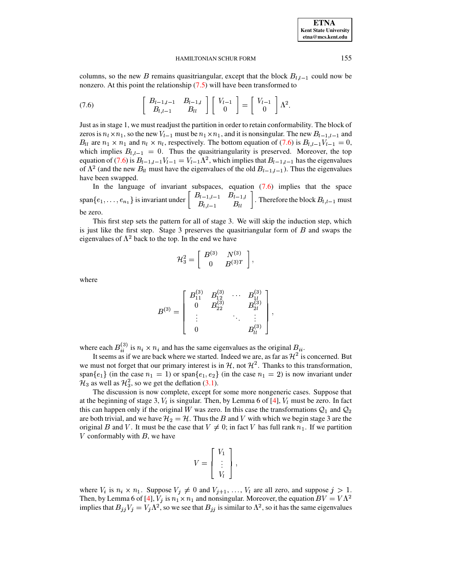columns, so the new B remains quasitriangular, except that the block  $B_{l,l-1}$  could now be nonzero. At this point the relationship  $(7.5)$  will have been transformed to

<span id="page-14-0"></span>(7.6) 
$$
\begin{bmatrix} B_{l-1,l-1} & B_{l-1,l} \ B_{l,l-1} & B_{ll} \end{bmatrix} \begin{bmatrix} V_{l-1} \ 0 \end{bmatrix} = \begin{bmatrix} V_{l-1} \ 0 \end{bmatrix} \Lambda^2.
$$

Just as in stage 1, we must readjust the partition in order to retain conformability. The block of zeros is  $n_l \times n_1$ , so the new  $V_{l-1}$  must be  $n_1 \times n_1$ , and it is nonsingular. The new  $B_{l-1,l-1}$  and  $B_{ll}$  are  $n_1 \times n_1$  and  $n_l \times n_l$ , respectively. The bottom equation of [\(7.6\)](#page-14-0) is  $B_{l,l-1}V_{l-1} = 0$ , which implies  $B_{l,l-1} = 0$ . Thus the quasitriangularity is preserved. Moreover, the top equation of [\(7.6\)](#page-14-0) is  $B_{l-1,l-1}V_{l-1} = V_{l-1}\Lambda^2$ , which implies that  $B_{l-1,l-1}$  has the eigenvalues of  $\Lambda^2$  (and the new  $B_{ll}$  must have the eigenvalues of the old  $B_{l-1,l-1}$ ). Thus the eigenvalues have been swapped.

In the language of invariant subspaces, equation [\(7.6\)](#page-14-0) implies that the space span $\{e_1, \ldots, e_{n_1}\}$  is invariant under  $\begin{bmatrix} B_{l-1,l-1} & B_{l-1,l} \\ B_{l,l-1} & B_{ll} \end{bmatrix}$ . Therefore the block  $B_{l,l-1}$  must be zero.

This first step sets the pattern for all of stage 3. We will skip the induction step, which is just like the first step. Stage 3 preserves the quasitriangular form of  $B$  and swaps the eigenvalues of  $\Lambda^2$  back to the top. In the end we have

$$
{\cal H}_3^2 = \left[ \begin{array}{cc} B^{(3)} & N^{(3)} \\ 0 & B^{(3)T} \end{array} \right],
$$

where

$$
B^{(3)}=\left[\begin{array}{cccc}B^{(3)}_{11} & B^{(3)}_{12} & \cdots & B^{(3)}_{1l} \\ 0 & B^{(3)}_{22} & & B^{(3)}_{2l} \\ \vdots & & \ddots & \vdots \\ 0 & & & B^{(3)}_{ll}\end{array}\right],
$$

**Grant Controller Controller Controller** 

where each  $B_{ii}^{(3)}$  is  $n_i \times n_i$  and has the same eigenvalues as the original  $B_{ii}$ .

It seems as if we are back where we started. Indeed we are, as far as  $\mathcal{H}^2$  is concerned. But we must not forget that our primary interest is in  $H$ , not  $H^2$ . Thanks to this transformation, span $\{e_1\}$  (in the case  $n_1 = 1$ ) or span $\{e_1, e_2\}$  (in the case  $n_1 = 2$ ) is now invariant under  $\mathcal{H}_3$  as well as  $\mathcal{H}_3^2$ , so we get the deflation [\(3.1\)](#page-3-6).

 The discussion is now complete, except for some more nongeneric cases. Suppose that at the beginning of stage 3,  $V_l$  is singular. Then, by Lemma 6 of [\[4\]](#page-16-0),  $V_l$  must be zero. In fact this can happen only if the original W was zero. In this case the transformations  $Q_1$  and  $Q_2$ are both trivial, and we have  $\mathcal{H}_2 = \mathcal{H}$ . Thus the B and V with which we begin stage 3 are the original B and V. It must be the case that  $V \neq 0$ ; in fact V has 0; in fact  $V$  has full rank  $n_1$ . If we partition  $V$  conformably with  $B$ , we have

$$
V = \left[ \begin{array}{c} V_1 \\ \vdots \\ V_l \end{array} \right],
$$

where  $V_i$  is  $n_i \times n_1$ . Suppose  $V_j \neq 0$  and  $V_{j+1}$ ,. 0 and  $V_{j+1}, \ldots, V_l$  are all zero, and suppose  $j > 1$ . Then, by Lemma 6 of [\[4\]](#page-16-0),  $V_j$  is  $n_1 \times n_1$  and nonsingular. Moreover, the equation  $BV = V\Lambda^2$ implies that  $B_{jj}V_j = V_j\Lambda^2$ , so we see that  $B_{jj}$  is similar to  $\Lambda^2$ , so it has the same eigenvalues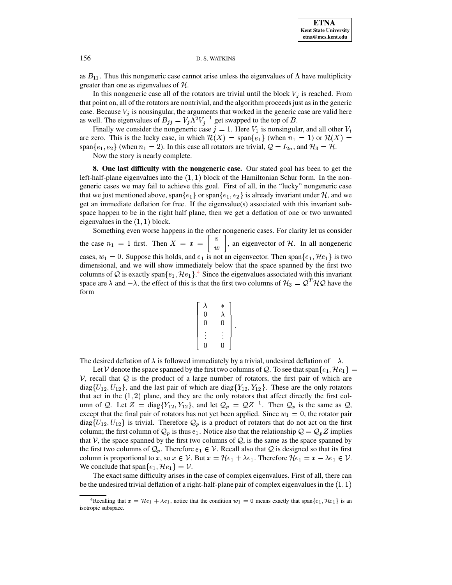as  $B_{11}$ . Thus this nongeneric case cannot arise unless the eigenvalues of  $\Lambda$  have multiplicity greater than one as eigenvalues of  $H$ .

In this nongeneric case all of the rotators are trivial until the block  $V_j$  is reached. From that point on, all of the rotators are nontrivial, and the algorithm proceeds just as in the generic case. Because  $V_j$  is nonsingular, the arguments that worked in the generic case are valid here as well. The eigenvalues of  $B_{jj} = V_j \Lambda^2 V_j^{-1}$  get swapped to the top of B.

Finally we consider the nongeneric case  $j = 1$ . Here  $V_1$  is nonsingular, and all other  $V_i$ are zero. This is the lucky case, in which  $\mathcal{R}(X) = \text{span}\{e_1\}$  (when  $n_1 = 1$ ) or  $\mathcal{R}(X) =$ span $\{e_1, e_2\}$  (when  $n_1 = 2$ ). In this case all rotators are trivial,  $\mathcal{Q} = I_{2n}$ , and  $\mathcal{H}_3 = \mathcal{H}$ .

Now the story is nearly complete.

**8. One last difficulty with the nongeneric case.** Our stated goal has been to get the left-half-plane eigenvalues into the  $(1, 1)$  block of the Hamiltonian Schur form. In the nongeneric cases we may fail to achieve this goal. First of all, in the "lucky" nongeneric case that we just mentioned above, span $\{e_1\}$  or span $\{e_1, e_2\}$  is already invariant under  $H$ , and we get an immediate deflation for free. If the eigenvalue(s) associated with this invariant subspace happen to be in the right half plane, then we get a deflation of one or two unwanted eigenvalues in the  $(1, 1)$  block.

Something even worse happens in the other nongeneric cases. For clarity let us consider the case  $n_1 = 1$  first. Then  $X = x = \begin{bmatrix} v \\ w \end{bmatrix}$ , an eigenvector of H. In all nongeneric cases,  $w_1 = 0$ . Suppose the 0. Suppose this holds, and  $e_1$  is not an eigenvector. Then span $\{e_1, \mathcal{H}e_1\}$  is two dimensional, and we will show immediately below that the space spanned by the first two columns of Q is exactly span $\{e_1, \mathcal{H}e_1\}$ .<sup>[4](#page-15-0)</sup> Since the eigenvalues associated with this invariant space are  $\lambda$  and  $-\lambda$ , the effect of this is that the first two columns of  $\mathcal{H}_3 = \mathcal{Q}^T \mathcal{H} \mathcal{Q}$  have the form

$$
\left[\begin{array}{ccc} \lambda & * \\ 0 & -\lambda \\ 0 & 0 \\ \vdots & \vdots \\ 0 & 0 \end{array}\right].
$$

The desired deflation of  $\lambda$  is followed immediately by a trivial, undesired deflation of  $-\lambda$ .

Let V denote the space spanned by the first two columns of Q. To see that span $\{e_1, \mathcal{H}e_1\} =$  $V$ , recall that  $Q$  is the product of a large number of rotators, the first pair of which are  $\mathbf{I}$   $\mathbf{J}$ diag  $\{U_{12}, U_{12}\}$ , and the last pair of which are diag  $\{Y_{12}, Y_{12}\}$ . These are the only rotators that act in the  $(1, 2)$  plane, and they are the only rotators that affect directly the first column of Q. Let  $Z = diag{Y_{12}, Y_{12}}$ , and let  $\mathcal{Q}_p = QZ^{-1}$ . Then  $\mathcal{Q}_p$  is the same as  $\mathcal{Q}_p$ , except that the final pair of rotators has not yet been applied. Since  $w_1 = 0$ , the rotator 0, the rotator pair diag  $\{U_{12}, U_{12}\}$  is trivial. Therefore  $\mathcal{Q}_p$  is a product of rotators that do not act on the first column; the first column of  $\mathcal{Q}_p$  is thus  $e_1$ . Notice also that the relationship  $\mathcal{Q} = \mathcal{Q}_p Z$  implies that V, the space spanned by the first two columns of  $\mathcal{Q}$ , is the same as the space spanned by the first two columns of  $\mathcal{Q}_p$ . Therefore  $e_1 \in \mathcal{V}$ . Recall also that  $\mathcal Q$  is designed so that its first column is proportional to x, so  $x \in V$ . But  $x = \mathcal{H}e_1 + \lambda e_1$ . Therefore  $\mathcal{H}e_1 = x - \lambda e_1 \in V$ . We conclude that span $\{e_1, \mathcal{H}e_1\} = \mathcal{V}$ .

The exact same difficulty arises in the case of complex eigenvalues. First of all, there can be the undesired trivial deflation of a right-half-plane pair of complex eigenvalues in the  $(1, 1)$ 

<span id="page-15-0"></span><sup>&</sup>lt;sup>4</sup>Recalling that  $x = \mathcal{H}e_1 + \lambda e_1$ , notice that the condition  $w_1 = 0$  means exactly that span $\{e_1, \mathcal{H}e_1\}$  is an isotropic subspace.